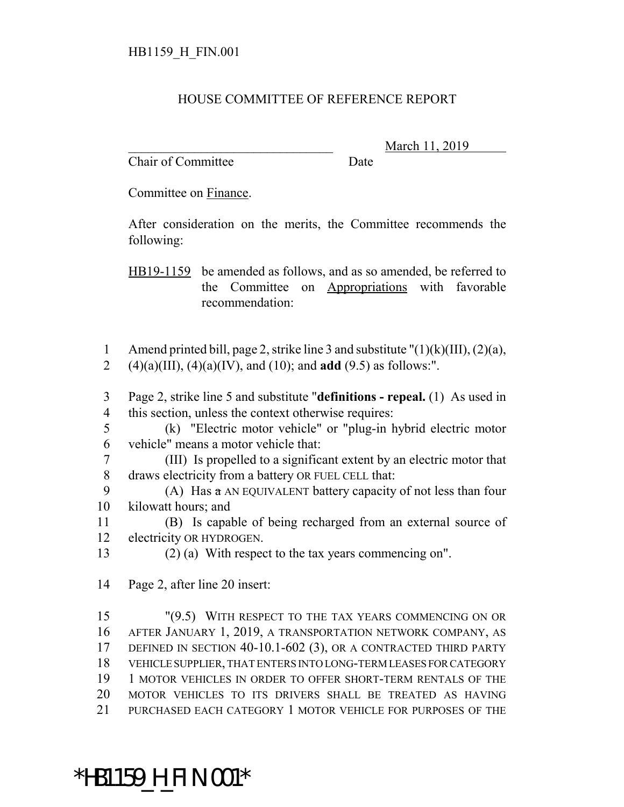## HOUSE COMMITTEE OF REFERENCE REPORT

Chair of Committee Date

March 11, 2019

Committee on Finance.

After consideration on the merits, the Committee recommends the following:

HB19-1159 be amended as follows, and as so amended, be referred to the Committee on Appropriations with favorable recommendation:

- 1 Amend printed bill, page 2, strike line 3 and substitute  $"(1)(k)(III)$ ,  $(2)(a)$ , 2 (4)(a)(III), (4)(a)(IV), and (10); and **add** (9.5) as follows:".
- 3 Page 2, strike line 5 and substitute "**definitions repeal.** (1) As used in 4 this section, unless the context otherwise requires:
- 5 (k) "Electric motor vehicle" or "plug-in hybrid electric motor 6 vehicle" means a motor vehicle that:
- 7 (III) Is propelled to a significant extent by an electric motor that 8 draws electricity from a battery OR FUEL CELL that:
- 9 (A) Has  $\alpha$  AN EQUIVALENT battery capacity of not less than four 10 kilowatt hours; and
- 11 (B) Is capable of being recharged from an external source of 12 electricity OR HYDROGEN.
- 13 (2) (a) With respect to the tax years commencing on".
- 14 Page 2, after line 20 insert:

 "(9.5) WITH RESPECT TO THE TAX YEARS COMMENCING ON OR AFTER JANUARY 1, 2019, A TRANSPORTATION NETWORK COMPANY, AS DEFINED IN SECTION 40-10.1-602 (3), OR A CONTRACTED THIRD PARTY VEHICLE SUPPLIER, THAT ENTERS INTO LONG-TERM LEASES FOR CATEGORY 19 1 MOTOR VEHICLES IN ORDER TO OFFER SHORT-TERM RENTALS OF THE MOTOR VEHICLES TO ITS DRIVERS SHALL BE TREATED AS HAVING PURCHASED EACH CATEGORY 1 MOTOR VEHICLE FOR PURPOSES OF THE

## \*HB1159\_H\_FIN.001\*